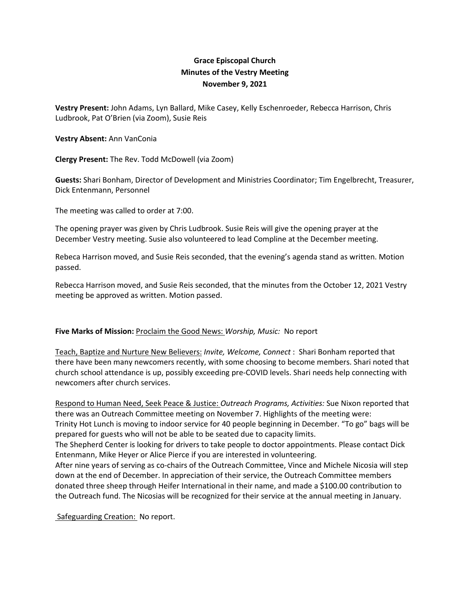## **Grace Episcopal Church Minutes of the Vestry Meeting November 9, 2021**

**Vestry Present:** John Adams, Lyn Ballard, Mike Casey, Kelly Eschenroeder, Rebecca Harrison, Chris Ludbrook, Pat O'Brien (via Zoom), Susie Reis

## **Vestry Absent:** Ann VanConia

**Clergy Present:** The Rev. Todd McDowell (via Zoom)

**Guests:** Shari Bonham, Director of Development and Ministries Coordinator; Tim Engelbrecht, Treasurer, Dick Entenmann, Personnel

The meeting was called to order at 7:00.

The opening prayer was given by Chris Ludbrook. Susie Reis will give the opening prayer at the December Vestry meeting. Susie also volunteered to lead Compline at the December meeting.

Rebeca Harrison moved, and Susie Reis seconded, that the evening's agenda stand as written. Motion passed.

Rebecca Harrison moved, and Susie Reis seconded, that the minutes from the October 12, 2021 Vestry meeting be approved as written. Motion passed.

## **Five Marks of Mission:** Proclaim the Good News: *Worship, Music:* No report

Teach, Baptize and Nurture New Believers: *Invite, Welcome, Connect* : Shari Bonham reported that there have been many newcomers recently, with some choosing to become members. Shari noted that church school attendance is up, possibly exceeding pre-COVID levels. Shari needs help connecting with newcomers after church services.

Respond to Human Need, Seek Peace & Justice: *Outreach Programs, Activities:* Sue Nixon reported that there was an Outreach Committee meeting on November 7. Highlights of the meeting were: Trinity Hot Lunch is moving to indoor service for 40 people beginning in December. "To go" bags will be prepared for guests who will not be able to be seated due to capacity limits. The Shepherd Center is looking for drivers to take people to doctor appointments. Please contact Dick Entenmann, Mike Heyer or Alice Pierce if you are interested in volunteering. After nine years of serving as co-chairs of the Outreach Committee, Vince and Michele Nicosia will step

down at the end of December. In appreciation of their service, the Outreach Committee members donated three sheep through Heifer International in their name, and made a \$100.00 contribution to the Outreach fund. The Nicosias will be recognized for their service at the annual meeting in January.

Safeguarding Creation: No report.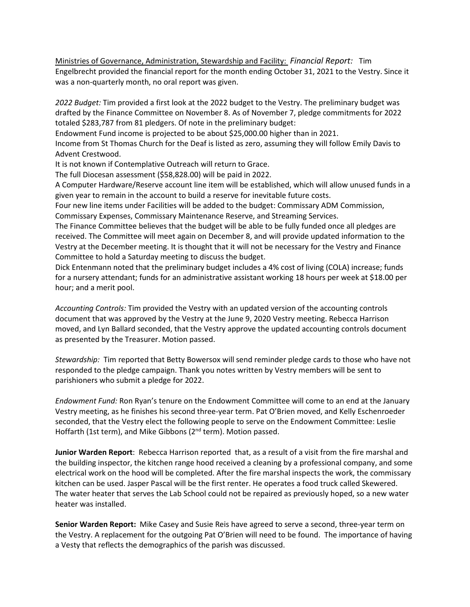Ministries of Governance, Administration, Stewardship and Facility: *Financial Report:* Tim Engelbrecht provided the financial report for the month ending October 31, 2021 to the Vestry. Since it was a non-quarterly month, no oral report was given.

*2022 Budget:* Tim provided a first look at the 2022 budget to the Vestry. The preliminary budget was drafted by the Finance Committee on November 8. As of November 7, pledge commitments for 2022 totaled \$283,787 from 81 pledgers. Of note in the preliminary budget:

Endowment Fund income is projected to be about \$25,000.00 higher than in 2021.

Income from St Thomas Church for the Deaf is listed as zero, assuming they will follow Emily Davis to Advent Crestwood.

It is not known if Contemplative Outreach will return to Grace.

The full Diocesan assessment (\$58,828.00) will be paid in 2022.

A Computer Hardware/Reserve account line item will be established, which will allow unused funds in a given year to remain in the account to build a reserve for inevitable future costs.

Four new line items under Facilities will be added to the budget: Commissary ADM Commission, Commissary Expenses, Commissary Maintenance Reserve, and Streaming Services.

The Finance Committee believes that the budget will be able to be fully funded once all pledges are received. The Committee will meet again on December 8, and will provide updated information to the Vestry at the December meeting. It is thought that it will not be necessary for the Vestry and Finance Committee to hold a Saturday meeting to discuss the budget.

Dick Entenmann noted that the preliminary budget includes a 4% cost of living (COLA) increase; funds for a nursery attendant; funds for an administrative assistant working 18 hours per week at \$18.00 per hour; and a merit pool.

*Accounting Controls:* Tim provided the Vestry with an updated version of the accounting controls document that was approved by the Vestry at the June 9, 2020 Vestry meeting. Rebecca Harrison moved, and Lyn Ballard seconded, that the Vestry approve the updated accounting controls document as presented by the Treasurer. Motion passed.

*Stewardship:* Tim reported that Betty Bowersox will send reminder pledge cards to those who have not responded to the pledge campaign. Thank you notes written by Vestry members will be sent to parishioners who submit a pledge for 2022.

*Endowment Fund:* Ron Ryan's tenure on the Endowment Committee will come to an end at the January Vestry meeting, as he finishes his second three-year term. Pat O'Brien moved, and Kelly Eschenroeder seconded, that the Vestry elect the following people to serve on the Endowment Committee: Leslie Hoffarth (1st term), and Mike Gibbons (2<sup>nd</sup> term). Motion passed.

**Junior Warden Report**: Rebecca Harrison reported that, as a result of a visit from the fire marshal and the building inspector, the kitchen range hood received a cleaning by a professional company, and some electrical work on the hood will be completed. After the fire marshal inspects the work, the commissary kitchen can be used. Jasper Pascal will be the first renter. He operates a food truck called Skewered. The water heater that serves the Lab School could not be repaired as previously hoped, so a new water heater was installed.

**Senior Warden Report:** Mike Casey and Susie Reis have agreed to serve a second, three-year term on the Vestry. A replacement for the outgoing Pat O'Brien will need to be found. The importance of having a Vesty that reflects the demographics of the parish was discussed.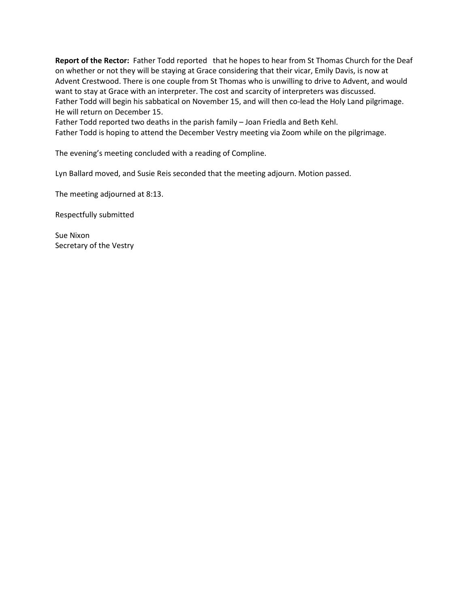**Report of the Rector:** Father Todd reported that he hopes to hear from St Thomas Church for the Deaf on whether or not they will be staying at Grace considering that their vicar, Emily Davis, is now at Advent Crestwood. There is one couple from St Thomas who is unwilling to drive to Advent, and would want to stay at Grace with an interpreter. The cost and scarcity of interpreters was discussed. Father Todd will begin his sabbatical on November 15, and will then co-lead the Holy Land pilgrimage. He will return on December 15.

Father Todd reported two deaths in the parish family – Joan Friedla and Beth Kehl. Father Todd is hoping to attend the December Vestry meeting via Zoom while on the pilgrimage.

The evening's meeting concluded with a reading of Compline.

Lyn Ballard moved, and Susie Reis seconded that the meeting adjourn. Motion passed.

The meeting adjourned at 8:13.

Respectfully submitted

Sue Nixon Secretary of the Vestry